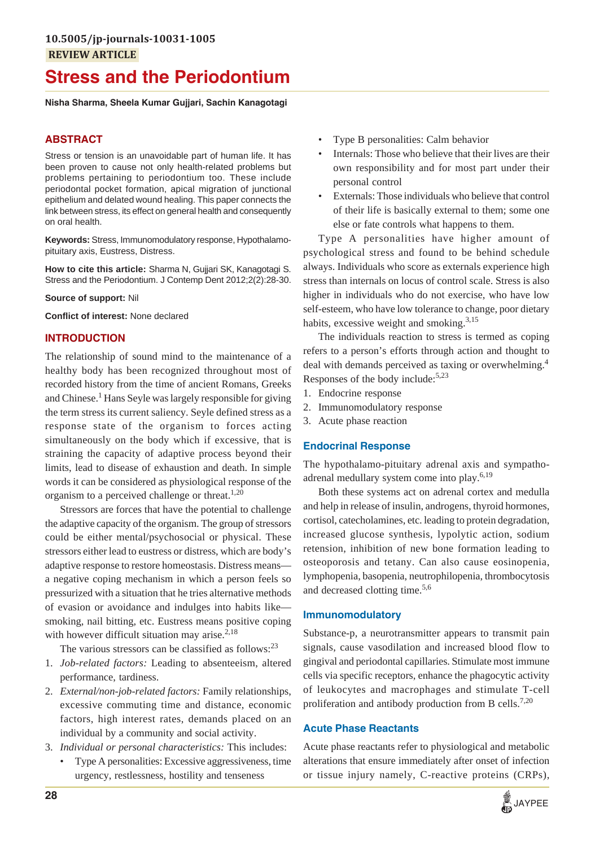# **Stress and the Periodontium**

**Nisha Sharma, Sheela Kumar Gujjari, Sachin Kanagotagi**

## **ABSTRACT**

Stress or tension is an unavoidable part of human life. It has been proven to cause not only health-related problems but problems pertaining to periodontium too. These include periodontal pocket formation, apical migration of junctional epithelium and delated wound healing. This paper connects the link between stress, its effect on general health and consequently on oral health.

**Keywords:** Stress, Immunomodulatory response, Hypothalamopituitary axis, Eustress, Distress.

**How to cite this article:** Sharma N, Gujjari SK, Kanagotagi S. Stress and the Periodontium. J Contemp Dent 2012;2(2):28-30.

**Source of support:** Nil

**Conflict of interest:** None declared

## **INTRODUCTION**

The relationship of sound mind to the maintenance of a healthy body has been recognized throughout most of recorded history from the time of ancient Romans, Greeks and Chinese.<sup>1</sup> Hans Seyle was largely responsible for giving the term stress its current saliency. Seyle defined stress as a response state of the organism to forces acting simultaneously on the body which if excessive, that is straining the capacity of adaptive process beyond their limits, lead to disease of exhaustion and death. In simple words it can be considered as physiological response of the organism to a perceived challenge or threat.<sup>1,20</sup>

Stressors are forces that have the potential to challenge the adaptive capacity of the organism. The group of stressors could be either mental/psychosocial or physical. These stressors either lead to eustress or distress, which are body's adaptive response to restore homeostasis. Distress means a negative coping mechanism in which a person feels so pressurized with a situation that he tries alternative methods of evasion or avoidance and indulges into habits like smoking, nail bitting, etc. Eustress means positive coping with however difficult situation may arise. $2.18$ 

The various stressors can be classified as follows: $^{23}$ 

- 1. *Job-related factors:* Leading to absenteeism, altered performance, tardiness.
- 2. *External/non-job-related factors:* Family relationships, excessive commuting time and distance, economic factors, high interest rates, demands placed on an individual by a community and social activity.
- 3. *Individual or personal characteristics:* This includes:
	- Type A personalities: Excessive aggressiveness, time urgency, restlessness, hostility and tenseness
- Type B personalities: Calm behavior
- Internals: Those who believe that their lives are their own responsibility and for most part under their personal control
- Externals: Those individuals who believe that control of their life is basically external to them; some one else or fate controls what happens to them.

Type A personalities have higher amount of psychological stress and found to be behind schedule always. Individuals who score as externals experience high stress than internals on locus of control scale. Stress is also higher in individuals who do not exercise, who have low self-esteem, who have low tolerance to change, poor dietary habits, excessive weight and smoking. $3,15$ 

The individuals reaction to stress is termed as coping refers to a person's efforts through action and thought to deal with demands perceived as taxing or overwhelming.<sup>4</sup> Responses of the body include:<sup>5,23</sup>

- 1. Endocrine response
- 2. Immunomodulatory response
- 3. Acute phase reaction

#### **Endocrinal Response**

The hypothalamo-pituitary adrenal axis and sympathoadrenal medullary system come into play. $6,19$ 

Both these systems act on adrenal cortex and medulla and help in release of insulin, androgens, thyroid hormones, cortisol, catecholamines, etc. leading to protein degradation, increased glucose synthesis, lypolytic action, sodium retension, inhibition of new bone formation leading to osteoporosis and tetany. Can also cause eosinopenia, lymphopenia, basopenia, neutrophilopenia, thrombocytosis and decreased clotting time.<sup>5,6</sup>

## **Immunomodulatory**

Substance-p, a neurotransmitter appears to transmit pain signals, cause vasodilation and increased blood flow to gingival and periodontal capillaries. Stimulate most immune cells via specific receptors, enhance the phagocytic activity of leukocytes and macrophages and stimulate T-cell proliferation and antibody production from B cells.<sup>7,20</sup>

## **Acute Phase Reactants**

Acute phase reactants refer to physiological and metabolic alterations that ensure immediately after onset of infection or tissue injury namely, C-reactive proteins (CRPs),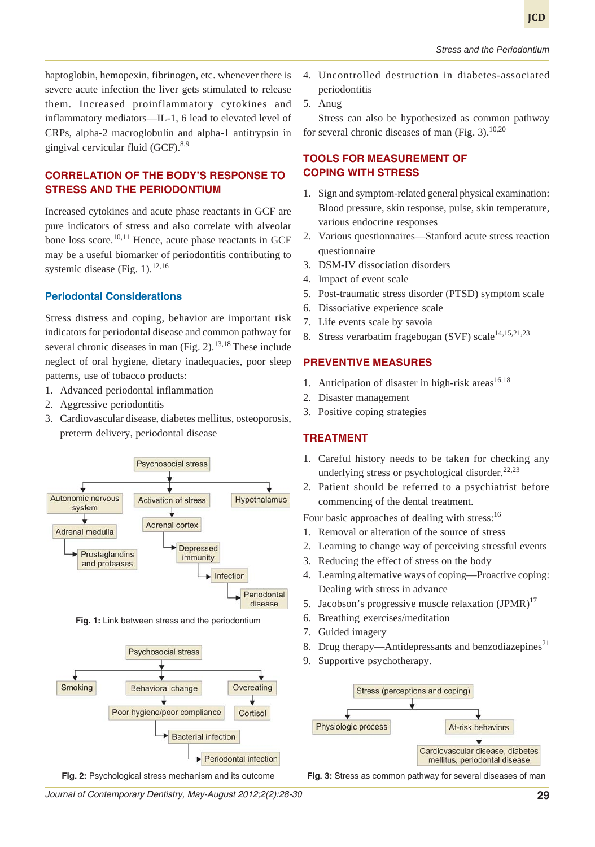haptoglobin, hemopexin, fibrinogen, etc. whenever there is severe acute infection the liver gets stimulated to release them. Increased proinflammatory cytokines and inflammatory mediators—IL-1, 6 lead to elevated level of CRPs, alpha-2 macroglobulin and alpha-1 antitrypsin in gingival cervicular fluid  $(GCF)$ .<sup>8,9</sup>

# **CORRELATION OF THE BODY'S RESPONSE TO STRESS AND THE PERIODONTIUM**

Increased cytokines and acute phase reactants in GCF are pure indicators of stress and also correlate with alveolar bone loss score. $10,11$  Hence, acute phase reactants in GCF may be a useful biomarker of periodontitis contributing to systemic disease (Fig. 1).<sup>12,16</sup>

#### **Periodontal Considerations**

Stress distress and coping, behavior are important risk indicators for periodontal disease and common pathway for several chronic diseases in man  $(Fig. 2)$ .<sup>13,18</sup> These include neglect of oral hygiene, dietary inadequacies, poor sleep patterns, use of tobacco products:

- 1. Advanced periodontal inflammation
- 2. Aggressive periodontitis
- 3. Cardiovascular disease, diabetes mellitus, osteoporosis, preterm delivery, periodontal disease



**Fig. 1:** Link between stress and the periodontium



- 4. Uncontrolled destruction in diabetes-associated periodontitis
- 5. Anug

Stress can also be hypothesized as common pathway for several chronic diseases of man (Fig. 3). $10,20$ 

## **TOOLS FOR MEASUREMENT OF COPING WITH STRESS**

- 1. Sign and symptom-related general physical examination: Blood pressure, skin response, pulse, skin temperature, various endocrine responses
- 2. Various questionnaires—Stanford acute stress reaction questionnaire
- 3. DSM-IV dissociation disorders
- 4. Impact of event scale
- 5. Post-traumatic stress disorder (PTSD) symptom scale
- 6. Dissociative experience scale
- 7. Life events scale by savoia
- 8. Stress verarbatim fragebogan (SVF) scale<sup>14,15,21,23</sup>

## **PREVENTIVE MEASURES**

- 1. Anticipation of disaster in high-risk areas $16,18$
- 2. Disaster management
- 3. Positive coping strategies

## **TREATMENT**

- 1. Careful history needs to be taken for checking any underlying stress or psychological disorder. $22,23$
- 2. Patient should be referred to a psychiatrist before commencing of the dental treatment.

Four basic approaches of dealing with stress:<sup>16</sup>

- 1. Removal or alteration of the source of stress
- 2. Learning to change way of perceiving stressful events
- 3. Reducing the effect of stress on the body
- 4. Learning alternative ways of coping—Proactive coping: Dealing with stress in advance
- 5. Jacobson's progressive muscle relaxation  $\text{JPMR}$ <sup>17</sup>
- 6. Breathing exercises/meditation
- 7. Guided imagery
- 8. Drug therapy—Antidepressants and benzodiazepines<sup>21</sup>
- 9. Supportive psychotherapy.



**Fig. 2:** Psychological stress mechanism and its outcome **Fig. 3:** Stress as common pathway for several diseases of man

*Journal of Contemporary Dentistry, May-August 2012;2(2):28-30* **29**